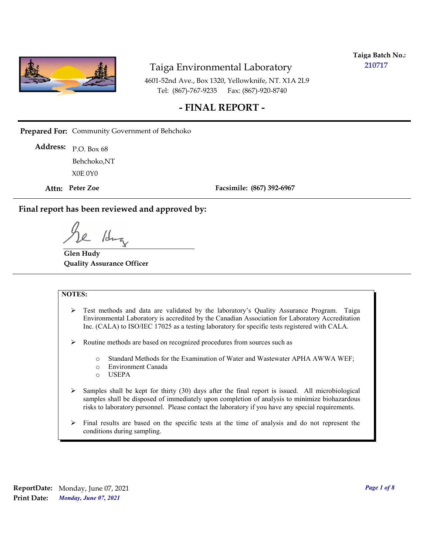

**Taiga Batch No.: 210717**

4601-52nd Ave., Box 1320, Yellowknife, NT. X1A 2L9 Tel: (867)-767-9235 Fax: (867)-920-8740

#### **- FINAL REPORT -**

**Prepared For:** Community Government of Behchoko

P.O. Box 68 **Address:** X0E 0Y0 Behchoko,NT

**Attn: Peter Zoe**

**Facsimile: (867) 392-6967**

**Final report has been reviewed and approved by:**

/dr

**Glen Hudy Quality Assurance Officer**

#### **NOTES:**

- $\triangleright$  Test methods and data are validated by the laboratory's Quality Assurance Program. Taiga Environmental Laboratory is accredited by the Canadian Association for Laboratory Accreditation Inc. (CALA) to ISO/IEC 17025 as a testing laboratory for specific tests registered with CALA.
- Routine methods are based on recognized procedures from sources such as
	- o Standard Methods for the Examination of Water and Wastewater APHA AWWA WEF;
	- o Environment Canada
	- o USEPA
- $\triangleright$  Samples shall be kept for thirty (30) days after the final report is issued. All microbiological samples shall be disposed of immediately upon completion of analysis to minimize biohazardous risks to laboratory personnel. Please contact the laboratory if you have any special requirements.
- $\triangleright$  Final results are based on the specific tests at the time of analysis and do not represent the conditions during sampling.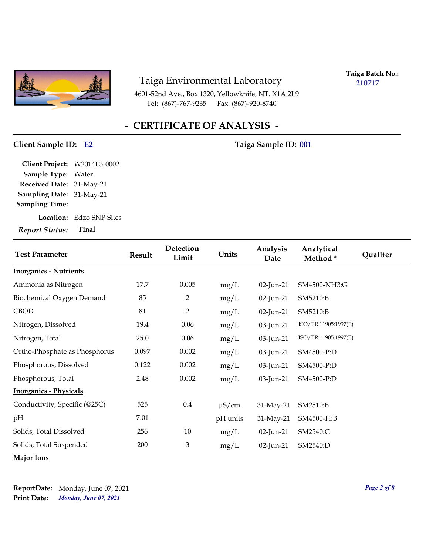

4601-52nd Ave., Box 1320, Yellowknife, NT. X1A 2L9 Tel: (867)-767-9235 Fax: (867)-920-8740

**Taiga Batch No.: 210717**

## **- CERTIFICATE OF ANALYSIS -**

#### Client Sample ID: E2 Taiga Sample ID: 001

| Client Project: W2014L3-0002    |                                 |
|---------------------------------|---------------------------------|
| Sample Type: Water              |                                 |
| Received Date: 31-May-21        |                                 |
| <b>Sampling Date: 31-May-21</b> |                                 |
| <b>Sampling Time:</b>           |                                 |
|                                 | <b>Location:</b> Edzo SNP Sites |
| <b>Report Status:</b>           | Final                           |

| <b>Test Parameter</b>         | <b>Result</b> | Detection<br>Limit | Units      | Analysis<br>Date | Analytical<br>Method* | Qualifer |
|-------------------------------|---------------|--------------------|------------|------------------|-----------------------|----------|
| <b>Inorganics - Nutrients</b> |               |                    |            |                  |                       |          |
| Ammonia as Nitrogen           | 17.7          | 0.005              | mg/L       | 02-Jun-21        | SM4500-NH3:G          |          |
| Biochemical Oxygen Demand     | 85            | $\overline{2}$     | mg/L       | 02-Jun-21        | SM5210:B              |          |
| <b>CBOD</b>                   | 81            | $\overline{2}$     | mg/L       | 02-Jun-21        | SM5210:B              |          |
| Nitrogen, Dissolved           | 19.4          | 0.06               | mg/L       | 03-Jun-21        | ISO/TR 11905:1997(E)  |          |
| Nitrogen, Total               | 25.0          | 0.06               | mg/L       | 03-Jun-21        | ISO/TR 11905:1997(E)  |          |
| Ortho-Phosphate as Phosphorus | 0.097         | 0.002              | mg/L       | 03-Jun-21        | SM4500-P:D            |          |
| Phosphorous, Dissolved        | 0.122         | 0.002              | mg/L       | 03-Jun-21        | SM4500-P:D            |          |
| Phosphorous, Total            | 2.48          | 0.002              | mg/L       | 03-Jun-21        | SM4500-P:D            |          |
| <b>Inorganics - Physicals</b> |               |                    |            |                  |                       |          |
| Conductivity, Specific (@25C) | 525           | $0.4\,$            | $\mu$ S/cm | 31-May-21        | SM2510:B              |          |
| pH                            | 7.01          |                    | pH units   | 31-May-21        | SM4500-H:B            |          |
| Solids, Total Dissolved       | 256           | 10                 | mg/L       | 02-Jun-21        | SM2540:C              |          |
| Solids, Total Suspended       | 200           | 3                  | mg/L       | 02-Jun-21        | SM2540:D              |          |
| <b>Major Ions</b>             |               |                    |            |                  |                       |          |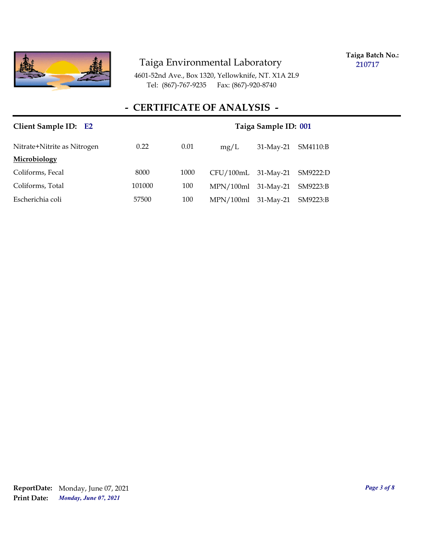

**Taiga Batch No.: 210717**

4601-52nd Ave., Box 1320, Yellowknife, NT. X1A 2L9 Tel: (867)-767-9235 Fax: (867)-920-8740

### **- CERTIFICATE OF ANALYSIS -**

| Client Sample ID: E2 |      |      |              |                                                                                           |
|----------------------|------|------|--------------|-------------------------------------------------------------------------------------------|
| 0.22                 | 0.01 | mg/L | $31$ -May-21 | SM4110:B                                                                                  |
|                      |      |      |              |                                                                                           |
| 8000                 | 1000 |      |              | SM9222:D                                                                                  |
| 101000               | 100  |      |              | SM9223:B                                                                                  |
| 57500                | 100  |      |              | SM9223:B                                                                                  |
|                      |      |      |              | Taiga Sample ID: 001<br>CFU/100mL 31-May-21<br>MPN/100ml 31-May-21<br>MPN/100ml 31-May-21 |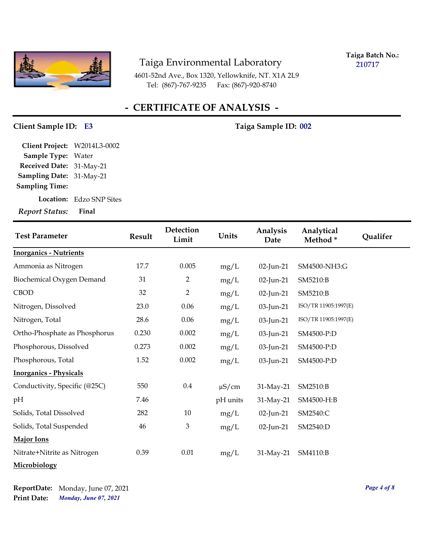

**Taiga Batch No.: 210717**

4601-52nd Ave., Box 1320, Yellowknife, NT. X1A 2L9 Tel: (867)-767-9235 Fax: (867)-920-8740

#### **- CERTIFICATE OF ANALYSIS -**

#### **Client Sample ID: Taiga Sample ID: E3 002**

**Sampling Date:** 31-May-21 **Received Date:** 31-May-21 **Client Project:** W2014L3-0002 **Sample Type:** Water **Sampling Time:**

**Location:** Edzo SNP Sites

*Report Status:* **Final**

| <b>Test Parameter</b>         | <b>Result</b> | Detection<br>Limit | Units      | Analysis<br>Date | Analytical<br>Method* | Qualifer |
|-------------------------------|---------------|--------------------|------------|------------------|-----------------------|----------|
| <b>Inorganics - Nutrients</b> |               |                    |            |                  |                       |          |
| Ammonia as Nitrogen           | 17.7          | 0.005              | mg/L       | 02-Jun-21        | SM4500-NH3:G          |          |
| Biochemical Oxygen Demand     | 31            | 2                  | mg/L       | 02-Jun-21        | SM5210:B              |          |
| <b>CBOD</b>                   | 32            | $\overline{2}$     | mg/L       | 02-Jun-21        | SM5210:B              |          |
| Nitrogen, Dissolved           | 23.0          | 0.06               | mg/L       | 03-Jun-21        | ISO/TR 11905:1997(E)  |          |
| Nitrogen, Total               | 28.6          | 0.06               | mg/L       | 03-Jun-21        | ISO/TR 11905:1997(E)  |          |
| Ortho-Phosphate as Phosphorus | 0.230         | 0.002              | mg/L       | 03-Jun-21        | SM4500-P:D            |          |
| Phosphorous, Dissolved        | 0.273         | 0.002              | mg/L       | 03-Jun-21        | SM4500-P:D            |          |
| Phosphorous, Total            | 1.52          | 0.002              | mg/L       | 03-Jun-21        | SM4500-P:D            |          |
| <b>Inorganics - Physicals</b> |               |                    |            |                  |                       |          |
| Conductivity, Specific (@25C) | 550           | $0.4\,$            | $\mu$ S/cm | 31-May-21        | SM2510:B              |          |
| pН                            | 7.46          |                    | pH units   | 31-May-21        | SM4500-H:B            |          |
| Solids, Total Dissolved       | 282           | $10\,$             | mg/L       | 02-Jun-21        | SM2540:C              |          |
| Solids, Total Suspended       | 46            | $\mathfrak{Z}$     | mg/L       | 02-Jun-21        | SM2540:D              |          |
| Major Ions                    |               |                    |            |                  |                       |          |
| Nitrate+Nitrite as Nitrogen   | 0.39          | 0.01               | mg/L       | 31-May-21        | SM4110:B              |          |
| Microbiology                  |               |                    |            |                  |                       |          |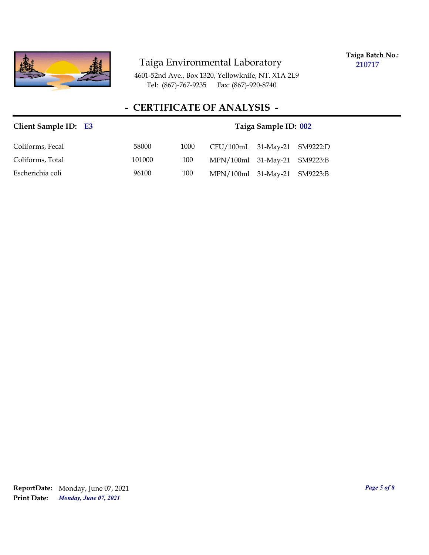

**Taiga Batch No.: 210717**

4601-52nd Ave., Box 1320, Yellowknife, NT. X1A 2L9 Tel: (867)-767-9235 Fax: (867)-920-8740

#### **- CERTIFICATE OF ANALYSIS -**

# **Client Sample ID: Taiga Sample ID: E3 002** Coliforms, Fecal 58000 1000 CFU/100mL 31-May-21 SM9222:D Coliforms, Total 101000 100 MPN/100ml 31-May-21 SM9223:B Escherichia coli 96100 100 MPN/100ml 31-May-21 SM9223:B

*Monday, June 07, 2021* **Print Date: ReportDate:** Monday, June 07, 2021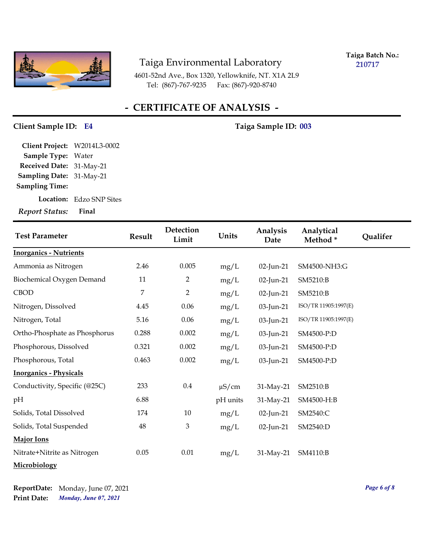

**Taiga Batch No.: 210717**

4601-52nd Ave., Box 1320, Yellowknife, NT. X1A 2L9 Tel: (867)-767-9235 Fax: (867)-920-8740

#### **- CERTIFICATE OF ANALYSIS -**

#### **Client Sample ID: Taiga Sample ID: E4 003**

**Sampling Date:** 31-May-21 **Received Date:** 31-May-21 **Client Project:** W2014L3-0002 **Sample Type:** Water **Sampling Time:**

**Location:** Edzo SNP Sites

*Report Status:* **Final**

| <b>Test Parameter</b>         | Result | Detection<br>Limit | Units      | Analysis<br>Date | Analytical<br>Method* | Qualifer |
|-------------------------------|--------|--------------------|------------|------------------|-----------------------|----------|
| <b>Inorganics - Nutrients</b> |        |                    |            |                  |                       |          |
| Ammonia as Nitrogen           | 2.46   | 0.005              | mg/L       | 02-Jun-21        | SM4500-NH3:G          |          |
| Biochemical Oxygen Demand     | 11     | $\overline{2}$     | mg/L       | 02-Jun-21        | SM5210:B              |          |
| <b>CBOD</b>                   | 7      | $\overline{2}$     | mg/L       | 02-Jun-21        | SM5210:B              |          |
| Nitrogen, Dissolved           | 4.45   | 0.06               | mg/L       | 03-Jun-21        | ISO/TR 11905:1997(E)  |          |
| Nitrogen, Total               | 5.16   | 0.06               | mg/L       | 03-Jun-21        | ISO/TR 11905:1997(E)  |          |
| Ortho-Phosphate as Phosphorus | 0.288  | 0.002              | mg/L       | 03-Jun-21        | SM4500-P:D            |          |
| Phosphorous, Dissolved        | 0.321  | 0.002              | mg/L       | 03-Jun-21        | SM4500-P:D            |          |
| Phosphorous, Total            | 0.463  | 0.002              | mg/L       | 03-Jun-21        | SM4500-P:D            |          |
| <b>Inorganics - Physicals</b> |        |                    |            |                  |                       |          |
| Conductivity, Specific (@25C) | 233    | $0.4\,$            | $\mu$ S/cm | 31-May-21        | SM2510:B              |          |
| pН                            | 6.88   |                    | pH units   | 31-May-21        | SM4500-H:B            |          |
| Solids, Total Dissolved       | 174    | 10                 | mg/L       | 02-Jun-21        | SM2540:C              |          |
| Solids, Total Suspended       | 48     | $\mathfrak{Z}$     | mg/L       | 02-Jun-21        | SM2540:D              |          |
| <b>Major Ions</b>             |        |                    |            |                  |                       |          |
| Nitrate+Nitrite as Nitrogen   | 0.05   | 0.01               | mg/L       | 31-May-21        | SM4110:B              |          |
| Microbiology                  |        |                    |            |                  |                       |          |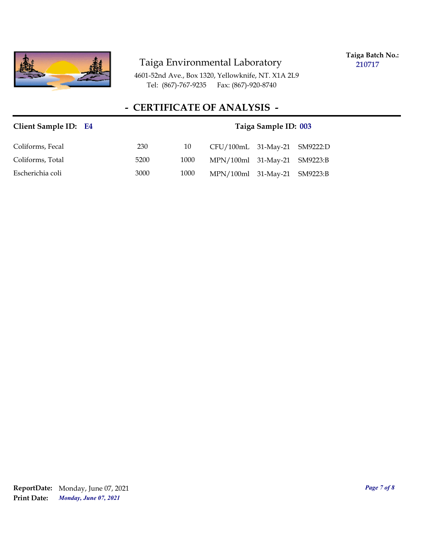

**Taiga Batch No.: 210717**

4601-52nd Ave., Box 1320, Yellowknife, NT. X1A 2L9 Tel: (867)-767-9235 Fax: (867)-920-8740

## **- CERTIFICATE OF ANALYSIS -**

| Client Sample ID: E4 |      | Taiga Sample ID: 003 |                              |  |  |
|----------------------|------|----------------------|------------------------------|--|--|
| Coliforms, Fecal     | 230  | 10                   | CFU/100mL 31-May-21 SM9222:D |  |  |
| Coliforms, Total     | 5200 | 1000                 | MPN/100ml 31-May-21 SM9223:B |  |  |
| Escherichia coli     | 3000 | 1000                 | MPN/100ml 31-May-21 SM9223:B |  |  |

*Monday, June 07, 2021* **Print Date: ReportDate:** Monday, June 07, 2021